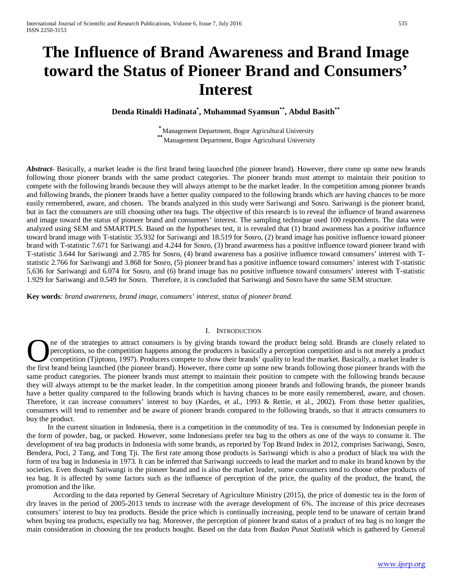# **The Influence of Brand Awareness and Brand Image toward the Status of Pioneer Brand and Consumers' Interest**

# **Denda Rinaldi Hadinata\* , Muhammad Syamsun\*\*, Abdul Basith\*\***

**\*** Management Department, Bogor Agricultural University **\*\***Management Department, Bogor Agricultural University

*Abstract*- Basically, a market leader is the first brand being launched (the pioneer brand). However, there come up some new brands following those pioneer brands with the same product categories. The pioneer brands must attempt to maintain their position to compete with the following brands because they will always attempt to be the market leader. In the competition among pioneer brands and following brands, the pioneer brands have a better quality compared to the following brands which are having chances to be more easily remembered, aware, and chosen. The brands analyzed in this study were Sariwangi and Sosro. Sariwangi is the pioneer brand, but in fact the consumers are still choosing other tea bags. The objective of this research is to reveal the influence of brand awareness and image toward the status of pioneer brand and consumers' interest. The sampling technique used 100 respondents. The data were analyzed using SEM and SMARTPLS. Based on the hypotheses test, it is revealed that (1) brand awareness has a positive influence toward brand image with T-statistic 35.932 for Sariwangi and 18.519 for Sosro, (2) brand image has positive influence toward pioneer brand with T-statistic 7.671 for Sariwangi and 4.244 for Sosro, (3) brand awareness has a positive influence toward pioneer brand with T-statistic 3.644 for Sariwangi and 2.785 for Sosro, (4) brand awareness has a positive influence toward consumers' interest with Tstatistic 2.766 for Sariwangi and 3.868 for Sosro, (5) pioneer brand has a positive influence toward consumers' interest with T-statistic 5,636 for Sariwangi and 6.074 for Sosro, and (6) brand image has no positive influence toward consumers' interest with T-statistic 1.929 for Sariwangi and 0.549 for Sosro. Therefore, it is concluded that Sariwangi and Sosro have the same SEM structure.

**Key words***: brand awareness, brand image, consumers' interest, status of pioneer brand.*

# I. INTRODUCTION

ne of the strategies to attract consumers is by giving brands toward the product being sold. Brands are closely related to perceptions, so the competition happens among the producers is basically a perception competition and is not merely a product competition (Tjiptono, 1997). Producers compete to show their brands' quality to lead the market. Basically, a market leader is The of the strategies to attract consumers is by giving brands toward the product being sold. Brands are closely related to perceptions, so the competition happens among the producers is basically a perception competition same product categories. The pioneer brands must attempt to maintain their position to compete with the following brands because they will always attempt to be the market leader. In the competition among pioneer brands and following brands, the pioneer brands have a better quality compared to the following brands which is having chances to be more easily remembered, aware, and chosen. Therefore, it can increase consumers' interest to buy (Kardes, et al., 1993 & Rettie, et al., 2002). From those better qualities, consumers will tend to remember and be aware of pioneer brands compared to the following brands, so that it attracts consumers to buy the product.

In the current situation in Indonesia, there is a competition in the commodity of tea. Tea is consumed by Indonesian people in the form of powder, bag, or packed. However, some Indonesians prefer tea bag to the others as one of the ways to consume it. The development of tea bag products in Indonesia with some brands, as reported by Top Brand Index in 2012, comprises Sariwangi, Sosro, Bendera, Poci, 2 Tang, and Tong Tji. The first rate among those products is Sariwangi which is also a product of black tea with the form of tea bag in Indonesia in 1973. It can be inferred that Sariwangi succeeds to lead the market and to make its brand known by the societies. Even though Sariwangi is the pioneer brand and is also the market leader, some consumers tend to choose other products of tea bag. It is affected by some factors such as the influence of perception of the price, the quality of the product, the brand, the promotion and the like.

According to the data reported by General Secretary of Agriculture Ministry (2015), the price of domestic tea in the form of dry leaves in the period of 2005-2013 tends to increase with the average development of 6%. The increase of this price decreases consumers' interest to buy tea products. Beside the price which is continually increasing, people tend to be unaware of certain brand when buying tea products, especially tea bag. Moreover, the perception of pioneer brand status of a product of tea bag is no longer the main consideration in choosing the tea products bought. Based on the data from *Badan Pusat Statistik* which is gathered by General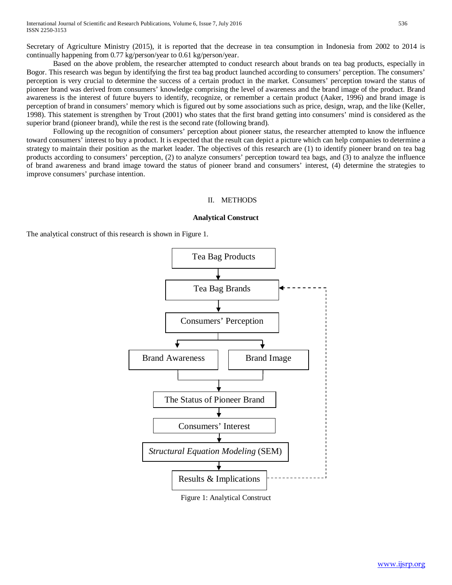Secretary of Agriculture Ministry (2015), it is reported that the decrease in tea consumption in Indonesia from 2002 to 2014 is continually happening from 0.77 kg/person/year to 0.61 kg/person/year.

Based on the above problem, the researcher attempted to conduct research about brands on tea bag products, especially in Bogor. This research was begun by identifying the first tea bag product launched according to consumers' perception. The consumers' perception is very crucial to determine the success of a certain product in the market. Consumers' perception toward the status of pioneer brand was derived from consumers' knowledge comprising the level of awareness and the brand image of the product. Brand awareness is the interest of future buyers to identify, recognize, or remember a certain product (Aaker, 1996) and brand image is perception of brand in consumers' memory which is figured out by some associations such as price, design, wrap, and the like (Keller, 1998). This statement is strengthen by Trout (2001) who states that the first brand getting into consumers' mind is considered as the superior brand (pioneer brand), while the rest is the second rate (following brand).

Following up the recognition of consumers' perception about pioneer status, the researcher attempted to know the influence toward consumers' interest to buy a product. It is expected that the result can depict a picture which can help companies to determine a strategy to maintain their position as the market leader. The objectives of this research are (1) to identify pioneer brand on tea bag products according to consumers' perception, (2) to analyze consumers' perception toward tea bags, and (3) to analyze the influence of brand awareness and brand image toward the status of pioneer brand and consumers' interest, (4) determine the strategies to improve consumers' purchase intention.

#### II. METHODS

#### **Analytical Construct**

The analytical construct of this research is shown in Figure 1.



Figure 1: Analytical Construct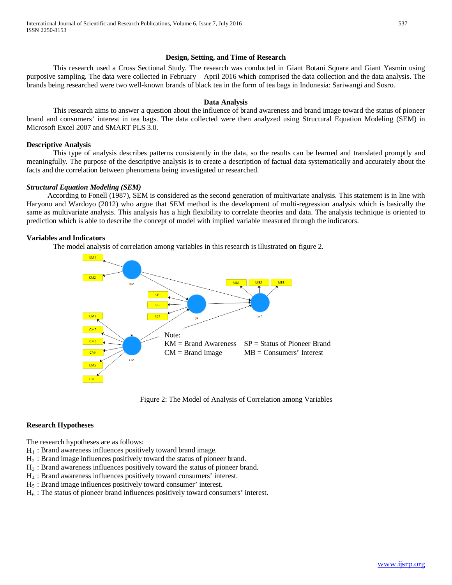#### **Design, Setting, and Time of Research**

This research used a Cross Sectional Study. The research was conducted in Giant Botani Square and Giant Yasmin using purposive sampling. The data were collected in February – April 2016 which comprised the data collection and the data analysis. The brands being researched were two well-known brands of black tea in the form of tea bags in Indonesia: Sariwangi and Sosro.

# **Data Analysis**

This research aims to answer a question about the influence of brand awareness and brand image toward the status of pioneer brand and consumers' interest in tea bags. The data collected were then analyzed using Structural Equation Modeling (SEM) in Microsoft Excel 2007 and SMART PLS 3.0.

#### **Descriptive Analysis**

This type of analysis describes patterns consistently in the data, so the results can be learned and translated promptly and meaningfully. The purpose of the descriptive analysis is to create a description of factual data systematically and accurately about the facts and the correlation between phenomena being investigated or researched.

#### *Structural Equation Modeling (SEM)*

According to Fonell (1987), SEM is considered as the second generation of multivariate analysis. This statement is in line with Haryono and Wardoyo (2012) who argue that SEM method is the development of multi-regression analysis which is basically the same as multivariate analysis. This analysis has a high flexibility to correlate theories and data. The analysis technique is oriented to prediction which is able to describe the concept of model with implied variable measured through the indicators.

#### **Variables and Indicators**

The model analysis of correlation among variables in this research is illustrated on figure 2.



Figure 2: The Model of Analysis of Correlation among Variables

#### **Research Hypotheses**

The research hypotheses are as follows:

- $H_1$ : Brand awareness influences positively toward brand image.
- H2 : Brand image influences positively toward the status of pioneer brand.
- $H_3$ : Brand awareness influences positively toward the status of pioneer brand.
- H4 : Brand awareness influences positively toward consumers' interest.
- $H<sub>5</sub>$ : Brand image influences positively toward consumer' interest.
- $H<sub>6</sub>$ : The status of pioneer brand influences positively toward consumers' interest.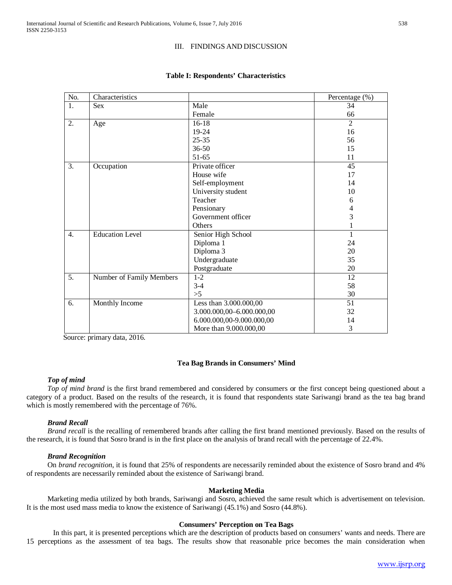# III. FINDINGS AND DISCUSSION

| No.              | Characteristics          |                           | Percentage (%) |
|------------------|--------------------------|---------------------------|----------------|
| 1.               | <b>Sex</b>               | Male                      | 34             |
|                  |                          | Female                    | 66             |
| 2.               | Age                      | $16 - 18$                 | $\overline{2}$ |
|                  |                          | 19-24                     | 16             |
|                  |                          | $25 - 35$                 | 56             |
|                  |                          | 36-50                     | 15             |
|                  |                          | 51-65                     | 11             |
| 3.               | Occupation               | Private officer           | 45             |
|                  |                          | House wife                | 17             |
|                  |                          | Self-employment           | 14             |
|                  |                          | University student        | 10             |
|                  |                          | Teacher                   | 6              |
|                  |                          | Pensionary                | 4              |
|                  |                          | Government officer        | 3              |
|                  |                          | Others                    |                |
| $\overline{4}$ . | <b>Education Level</b>   | Senior High School        | 1              |
|                  |                          | Diploma 1                 | 24             |
|                  |                          | Diploma 3                 | 20             |
|                  |                          | Undergraduate             | 35             |
|                  |                          | Postgraduate              | 20             |
| $\overline{5}$ . | Number of Family Members | $1 - 2$                   | 12             |
|                  |                          | $3 - 4$                   | 58             |
|                  |                          | >5                        | 30             |
| 6.               | Monthly Income           | Less than 3.000.000,00    | 51             |
|                  |                          | 3.000.000,00-6.000.000,00 | 32             |
|                  |                          | 6.000.000,00-9.000.000,00 | 14             |
|                  |                          | More than 9.000.000,00    | 3              |

#### **Table I: Respondents' Characteristics**

Source: primary data, 2016.

# **Tea Bag Brands in Consumers' Mind**

#### *Top of mind*

*Top of mind brand* is the first brand remembered and considered by consumers or the first concept being questioned about a category of a product. Based on the results of the research, it is found that respondents state Sariwangi brand as the tea bag brand which is mostly remembered with the percentage of 76%.

# *Brand Recall*

*Brand recall* is the recalling of remembered brands after calling the first brand mentioned previously. Based on the results of the research, it is found that Sosro brand is in the first place on the analysis of brand recall with the percentage of 22.4%.

#### *Brand Recognition*

On *brand recognition*, it is found that 25% of respondents are necessarily reminded about the existence of Sosro brand and 4% of respondents are necessarily reminded about the existence of Sariwangi brand.

#### **Marketing Media**

Marketing media utilized by both brands, Sariwangi and Sosro, achieved the same result which is advertisement on television. It is the most used mass media to know the existence of Sariwangi (45.1%) and Sosro (44.8%).

# **Consumers' Perception on Tea Bags**

In this part, it is presented perceptions which are the description of products based on consumers' wants and needs. There are 15 perceptions as the assessment of tea bags. The results show that reasonable price becomes the main consideration when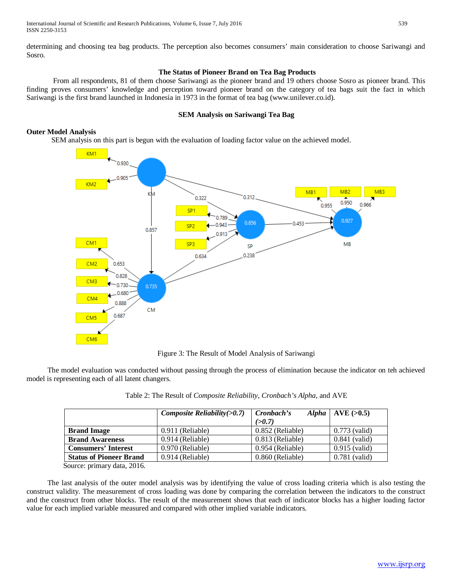determining and choosing tea bag products. The perception also becomes consumers' main consideration to choose Sariwangi and Sosro.

# **The Status of Pioneer Brand on Tea Bag Products**

From all respondents, 81 of them choose Sariwangi as the pioneer brand and 19 others choose Sosro as pioneer brand. This finding proves consumers' knowledge and perception toward pioneer brand on the category of tea bags suit the fact in which Sariwangi is the first brand launched in Indonesia in 1973 in the format of tea bag (www.unilever.co.id).

# **SEM Analysis on Sariwangi Tea Bag**

# **Outer Model Analysis**

SEM analysis on this part is begun with the evaluation of loading factor value on the achieved model.



Figure 3: The Result of Model Analysis of Sariwangi

The model evaluation was conducted without passing through the process of elimination because the indicator on teh achieved model is representing each of all latent changers.

|                                | Composite Reliability $(>0.7)$ | Cronbach's<br><b>Alpha</b><br>(>0.7) | AVE (>0.5)      |
|--------------------------------|--------------------------------|--------------------------------------|-----------------|
| <b>Brand Image</b>             | 0.911 (Reliable)               | 0.852 (Reliable)                     | $0.773$ (valid) |
| <b>Brand Awareness</b>         | 0.914 (Reliable)               | 0.813 (Reliable)                     | $0.841$ (valid) |
| <b>Consumers' Interest</b>     | 0.970 (Reliable)               | 0.954 (Reliable)                     | $0.915$ (valid) |
| <b>Status of Pioneer Brand</b> | 0.914 (Reliable)               | $0.860$ (Reliable)                   | $0.781$ (valid) |

Source: primary data, 2016.

The last analysis of the outer model analysis was by identifying the value of cross loading criteria which is also testing the construct validity. The measurement of cross loading was done by comparing the correlation between the indicators to the construct and the construct from other blocks. The result of the measurement shows that each of indicator blocks has a higher loading factor value for each implied variable measured and compared with other implied variable indicators.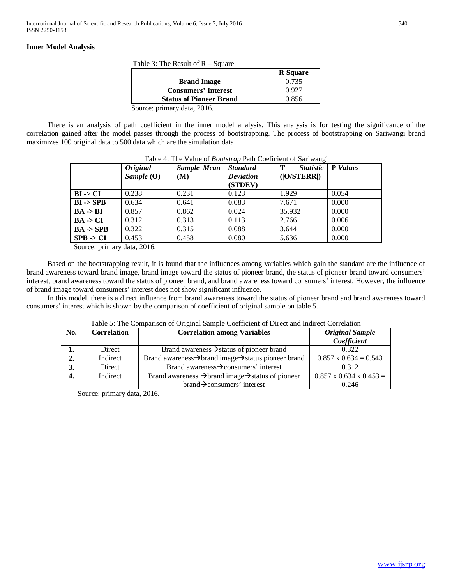# **Inner Model Analysis**

Table 3: The Result of R – Square

|                                                   | <b>R</b> Square |  |  |
|---------------------------------------------------|-----------------|--|--|
| <b>Brand Image</b>                                | 0.735           |  |  |
| <b>Consumers' Interest</b>                        | (1.92)          |  |  |
| <b>Status of Pioneer Brand</b>                    | 0.856           |  |  |
| $\mathcal{L}_{\text{outco}}$ regiment data $2016$ |                 |  |  |

Source: primary data, 2016.

There is an analysis of path coefficient in the inner model analysis. This analysis is for testing the significance of the correlation gained after the model passes through the process of bootstrapping. The process of bootstrapping on Sariwangi brand maximizes 100 original data to 500 data which are the simulation data.

|                      | <i><b>Original</b></i><br>Sample $(O)$ | <b>Sample Mean</b><br>(M) | <b>Standard</b><br><b>Deviation</b><br>(STDEV) | Т<br><i>Statistic</i><br>( O/STERR ) | <b>P</b> Values |
|----------------------|----------------------------------------|---------------------------|------------------------------------------------|--------------------------------------|-----------------|
| $BI \rightarrow CI$  | 0.238                                  | 0.231                     | 0.123                                          | 1.929                                | 0.054           |
| $BI \rightarrow SPB$ | 0.634                                  | 0.641                     | 0.083                                          | 7.671                                | 0.000           |
| $BA \rightarrow BI$  | 0.857                                  | 0.862                     | 0.024                                          | 35.932                               | 0.000           |
| $BA \rightarrow CI$  | 0.312                                  | 0.313                     | 0.113                                          | 2.766                                | 0.006           |
| $BA \rightarrow SPB$ | 0.322                                  | 0.315                     | 0.088                                          | 3.644                                | 0.000           |
| $SPB \rightarrow CI$ | 0.453                                  | 0.458                     | 0.080                                          | 5.636                                | 0.000           |

Source: primary data, 2016.

Based on the bootstrapping result, it is found that the influences among variables which gain the standard are the influence of brand awareness toward brand image, brand image toward the status of pioneer brand, the status of pioneer brand toward consumers' interest, brand awareness toward the status of pioneer brand, and brand awareness toward consumers' interest. However, the influence of brand image toward consumers' interest does not show significant influence.

In this model, there is a direct influence from brand awareness toward the status of pioneer brand and brand awareness toward consumers' interest which is shown by the comparison of coefficient of original sample on table 5.

|  | Table 5: The Comparison of Original Sample Coefficient of Direct and Indirect Correlation |  |
|--|-------------------------------------------------------------------------------------------|--|
|  |                                                                                           |  |

| No.              | <b>Correlation</b> | <b>Correlation among Variables</b>                                        | <b>Original Sample</b><br>Coefficient |
|------------------|--------------------|---------------------------------------------------------------------------|---------------------------------------|
| 1.               | Direct             | Brand awareness→status of pioneer brand                                   | 0.322                                 |
| $\overline{2}$ . | Indirect           | Brand awareness → brand image → status pioneer brand                      | $0.857 \times 0.634 = 0.543$          |
| 3.               | Direct             | Brand awareness $\rightarrow$ consumers' interest                         | 0.312                                 |
| 4.               | Indirect           | Brand awareness $\rightarrow$ brand image $\rightarrow$ status of pioneer | $0.857 \times 0.634 \times 0.453 =$   |
|                  |                    | $brand \rightarrow \text{consumers}'$ interest                            | 0.246                                 |

Source: primary data, 2016.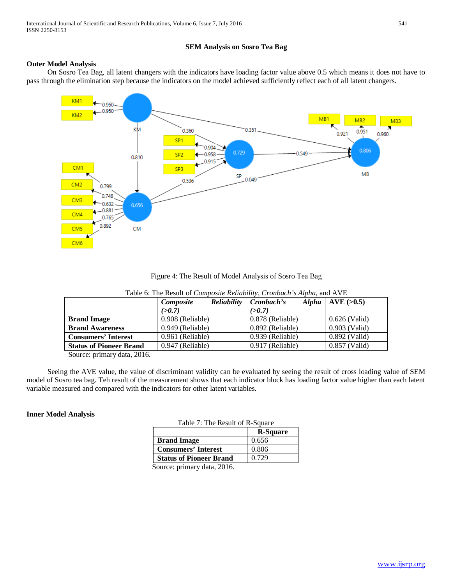# **SEM Analysis on Sosro Tea Bag**

# **Outer Model Analysis**

On Sosro Tea Bag, all latent changers with the indicators have loading factor value above 0.5 which means it does not have to pass through the elimination step because the indicators on the model achieved sufficiently reflect each of all latent changers.



Figure 4: The Result of Model Analysis of Sosro Tea Bag

|                                       | Composite        | Reliability   Cronbach's | Alpha   AVE $(>0.5)$ |
|---------------------------------------|------------------|--------------------------|----------------------|
|                                       | (>0.7)           | (>0.7)                   |                      |
| <b>Brand Image</b>                    | 0.908 (Reliable) | 0.878 (Reliable)         | $0.626$ (Valid)      |
| <b>Brand Awareness</b>                | 0.949 (Reliable) | 0.892 (Reliable)         | $0.903$ (Valid)      |
| <b>Consumers' Interest</b>            | 0.961 (Reliable) | 0.939 (Reliable)         | $0.892$ (Valid)      |
| <b>Status of Pioneer Brand</b>        | 0.947 (Reliable) | 0.917 (Reliable)         | $0.857$ (Valid)      |
| $\sim$<br>$\sim$ $\sim$ $\sim$ $\sim$ |                  |                          |                      |

Table 6: The Result of *Composite Reliability*, *Cronbach's Alpha*, and AVE

Source: primary data, 2016.

Seeing the AVE value, the value of discriminant validity can be evaluated by seeing the result of cross loading value of SEM model of Sosro tea bag. Teh result of the measurement shows that each indicator block has loading factor value higher than each latent variable measured and compared with the indicators for other latent variables.

# **Inner Model Analysis**

|  |  | Table 7: The Result of R-Square |  |
|--|--|---------------------------------|--|
|--|--|---------------------------------|--|

|                                | <b>R-Square</b> |
|--------------------------------|-----------------|
| <b>Brand Image</b>             | 0.656           |
| <b>Consumers' Interest</b>     | 0.806           |
| <b>Status of Pioneer Brand</b> | 0.729           |
|                                |                 |

Source: primary data, 2016.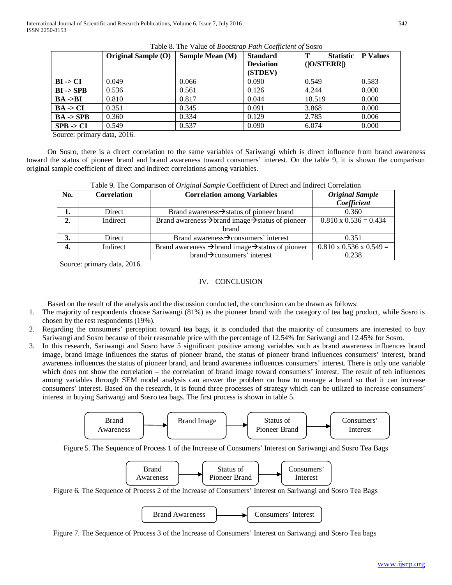|                      | Original Sample (O) | Sample Mean (M) | <b>Standard</b>  | <b>Statistic</b><br>т | <b>P</b> Values |
|----------------------|---------------------|-----------------|------------------|-----------------------|-----------------|
|                      |                     |                 | <b>Deviation</b> | ( O/STERR )           |                 |
|                      |                     |                 | (STDEV)          |                       |                 |
| $BI \rightarrow CI$  | 0.049               | 0.066           | 0.090            | 0.549                 | 0.583           |
| $BI \rightarrow SPB$ | 0.536               | 0.561           | 0.126            | 4.244                 | 0.000           |
| $BA ->BI$            | 0.810               | 0.817           | 0.044            | 18.519                | 0.000           |
| $BA \rightarrow CI$  | 0.351               | 0.345           | 0.091            | 3.868                 | 0.000           |
| $BA \rightarrow SPB$ | 0.360               | 0.334           | 0.129            | 2.785                 | 0.006           |
| $SPB \rightarrow CI$ | 0.549               | 0.537           | 0.090            | 6.074                 | 0.000           |

| Table 8. The Value of Bootstrap Path Coefficient of Sosro |  |
|-----------------------------------------------------------|--|
|-----------------------------------------------------------|--|

Source: primary data, 2016.

On Sosro, there is a direct correlation to the same variables of Sariwangi which is direct influence from brand awareness toward the status of pioneer brand and brand awareness toward consumers' interest. On the table 9, it is shown the comparison original sample coefficient of direct and indirect correlations among variables.

| No. | <b>Correlation</b> | <b>Correlation among Variables</b>                                        | <b>Original Sample</b>              |
|-----|--------------------|---------------------------------------------------------------------------|-------------------------------------|
|     |                    |                                                                           | Coefficient                         |
|     | Direct             | Brand awareness→status of pioneer brand                                   | 0.360                               |
|     | Indirect           | Brand awareness $\rightarrow$ brand image $\rightarrow$ status of pioneer | $0.810 \times 0.536 = 0.434$        |
|     |                    | brand                                                                     |                                     |
|     | Direct             | Brand awareness $\rightarrow$ consumers' interest                         | 0.351                               |
|     | Indirect           | Brand awareness $\rightarrow$ brand image $\rightarrow$ status of pioneer | $0.810 \times 0.536 \times 0.549 =$ |
|     |                    | $brand \rightarrow \text{consumers}'$ interest                            | 0.238                               |

| Table 9. The Comparison of Original Sample Coefficient of Direct and Indirect Correlation |  |  |
|-------------------------------------------------------------------------------------------|--|--|
|                                                                                           |  |  |

Source: primary data, 2016.

#### IV. CONCLUSION

Based on the result of the analysis and the discussion conducted, the conclusion can be drawn as follows:

- 1. The majority of respondents choose Sariwangi (81%) as the pioneer brand with the category of tea bag product, while Sosro is chosen by the rest respondents (19%).
- 2. Regarding the consumers' perception toward tea bags, it is concluded that the majority of consumers are interested to buy Sariwangi and Sosro because of their reasonable price with the percentage of 12.54% for Sariwangi and 12.45% for Sosro.
- 3. In this research, Sariwangi and Sosro have 5 significant positive among variables such as brand awareness influences brand image, brand image influences the status of pioneer brand, the status of pioneer brand influences consumers' interest, brand awareness influences the status of pioneer brand, and brand awareness influences consumers' interest. There is only one variable which does not show the correlation – the correlation of brand image toward consumers' interest. The result of teh influences among variables through SEM model analysis can answer the problem on how to manage a brand so that it can increase consumers' interest. Based on the research, it is found three processes of strategy which can be utilized to increase consumers' interest in buying Sariwangi and Sosro tea bags. The first process is shown in table 5.



Figure 5. The Sequence of Process 1 of the Increase of Consumers' Interest on Sariwangi and Sosro Tea Bags



Figure 6. The Sequence of Process 2 of the Increase of Consumers' Interest on Sariwangi and Sosro Tea Bags

| <b>Brand Awareness</b> | Consumers' Interest |  |
|------------------------|---------------------|--|
|                        |                     |  |

Figure 7. The Sequence of Process 3 of the Increase of Consumers' Interest on Sariwangi and Sosro Tea bags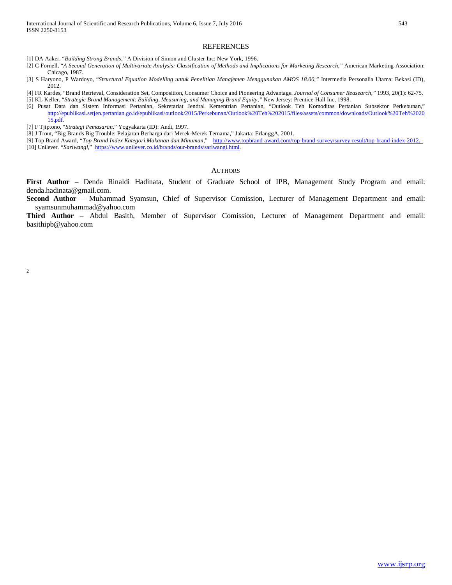[1] DA Aaker. "*Building Strong Brands,"* A Division of Simon and Cluster Inc: New York, 1996.

- [2] C Fornell, "*A Second Generation of Multivariate Analysis: Classification of Methods and Implications for Marketing Research,"* American Marketing Association: Chicago, 1987.
- [3] S Haryono, P Wardoyo, "*Structural Equation Modelling untuk Penelitian Manajemen Menggunakan AMOS 18.00,"* Intermedia Personalia Utama: Bekasi (ID), 2012.
- [4] FR Kardes, "Brand Retrieval, Consideration Set, Composition, Consumer Choice and Pioneering Advantage. *Journal of Consumer Reasearch,"* 1993, 20(1): 62-75. [5] KL Keller, "*Strategic Brand Management: Building, Measuring, and Managing Brand Equity,"* New Jersey: Prentice-Hall Inc, 1998.
- [6] Pusat Data dan Sistem Informasi Pertanian, Sekretariat Jendral Kementrian Pertanian, "Outlook Teh Komoditas Pertanian Subsektor Perkebunan," [http://epublikasi.setjen.pertanian.go.id/epublikasi/outlook/2015/Perkebunan/Outlook%20Teh%202015/files/assets/common/downloads/Outlook%20Teh%2020](http://epublikasi.setjen.pertanian.go.id/epublikasi/outlook/2015/Perkebunan/Outlook%20Teh%202015/files/assets/common/downloads/Outlook%20Teh%202015.pdf) [15.pdf.](http://epublikasi.setjen.pertanian.go.id/epublikasi/outlook/2015/Perkebunan/Outlook%20Teh%202015/files/assets/common/downloads/Outlook%20Teh%202015.pdf)
- [7] F Tjiptono, "*Strategi Pemasaran*." Yogyakarta (ID): Andi, 1997.
- [8] J Trout, "Big Brands Big Trouble: Pelajaran Berharga dari Merek-Merek Ternama," Jakarta: ErlanggA, 2001.
- [9] Top Brand Award, *"Top Brand Index Kategori Makanan dan Minuman*," <http://www.topbrand-award.com/top-brand-survey/survey-result/top-brand-index-2012.> [10] Unilever. *"Sariwangi*," [https://www.unilever.co.id/brands/our-brands/sariwangi.html.](https://www.unilever.co.id/brands/our-brands/sariwangi.html)

#### AUTHORS

**First Author** – Denda Rinaldi Hadinata, Student of Graduate School of IPB, Management Study Program and email: denda.hadinata@gmail.com.

**Second Author** – Muhammad Syamsun, Chief of Supervisor Comission, Lecturer of Management Department and email: syamsunmuhammad@yahoo.com

**Third Author** – Abdul Basith, Member of Supervisor Comission, Lecturer of Management Department and email: basithipb@yahoo.com